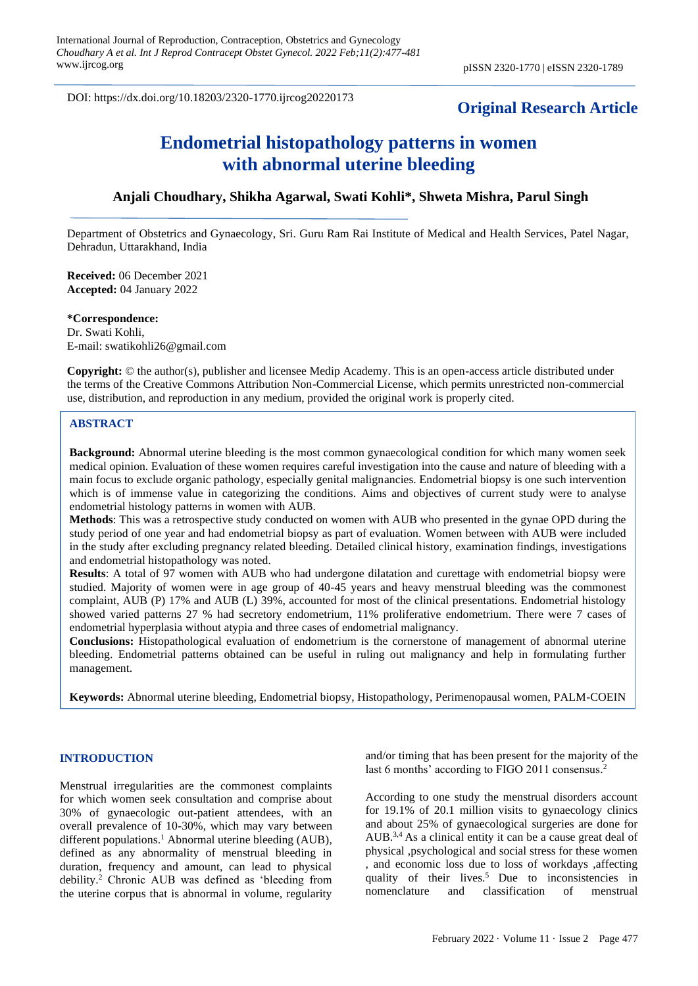DOI: https://dx.doi.org/10.18203/2320-1770.ijrcog20220173

# **Original Research Article**

# **Endometrial histopathology patterns in women with abnormal uterine bleeding**

# **Anjali Choudhary, Shikha Agarwal, Swati Kohli\*, Shweta Mishra, Parul Singh**

Department of Obstetrics and Gynaecology, Sri. Guru Ram Rai Institute of Medical and Health Services, Patel Nagar, Dehradun, Uttarakhand, India

**Received:** 06 December 2021 **Accepted:** 04 January 2022

**\*Correspondence:** Dr. Swati Kohli, E-mail: swatikohli26@gmail.com

**Copyright:** © the author(s), publisher and licensee Medip Academy. This is an open-access article distributed under the terms of the Creative Commons Attribution Non-Commercial License, which permits unrestricted non-commercial use, distribution, and reproduction in any medium, provided the original work is properly cited.

#### **ABSTRACT**

**Background:** Abnormal uterine bleeding is the most common gynaecological condition for which many women seek medical opinion. Evaluation of these women requires careful investigation into the cause and nature of bleeding with a main focus to exclude organic pathology, especially genital malignancies. Endometrial biopsy is one such intervention which is of immense value in categorizing the conditions. Aims and objectives of current study were to analyse endometrial histology patterns in women with AUB.

**Methods**: This was a retrospective study conducted on women with AUB who presented in the gynae OPD during the study period of one year and had endometrial biopsy as part of evaluation. Women between with AUB were included in the study after excluding pregnancy related bleeding. Detailed clinical history, examination findings, investigations and endometrial histopathology was noted.

**Results**: A total of 97 women with AUB who had undergone dilatation and curettage with endometrial biopsy were studied. Majority of women were in age group of 40-45 years and heavy menstrual bleeding was the commonest complaint, AUB (P) 17% and AUB (L) 39%, accounted for most of the clinical presentations. Endometrial histology showed varied patterns 27 % had secretory endometrium, 11% proliferative endometrium. There were 7 cases of endometrial hyperplasia without atypia and three cases of endometrial malignancy.

**Conclusions:** Histopathological evaluation of endometrium is the cornerstone of management of abnormal uterine bleeding. Endometrial patterns obtained can be useful in ruling out malignancy and help in formulating further management.

**Keywords:** Abnormal uterine bleeding, Endometrial biopsy, Histopathology, Perimenopausal women, PALM-COEIN

#### **INTRODUCTION**

Menstrual irregularities are the commonest complaints for which women seek consultation and comprise about 30% of gynaecologic out-patient attendees, with an overall prevalence of 10-30%, which may vary between different populations. <sup>1</sup> Abnormal uterine bleeding (AUB), defined as any abnormality of menstrual bleeding in duration, frequency and amount, can lead to physical debility. <sup>2</sup> Chronic AUB was defined as 'bleeding from the uterine corpus that is abnormal in volume, regularity and/or timing that has been present for the majority of the last 6 months' according to FIGO 2011 consensus.<sup>2</sup>

According to one study the menstrual disorders account for 19.1% of 20.1 million visits to gynaecology clinics and about 25% of gynaecological surgeries are done for AUB.<sup>3,4</sup> As a clinical entity it can be a cause great deal of physical ,psychological and social stress for these women , and economic loss due to loss of workdays ,affecting quality of their lives.<sup>5</sup> Due to inconsistencies in nomenclature and classification of menstrual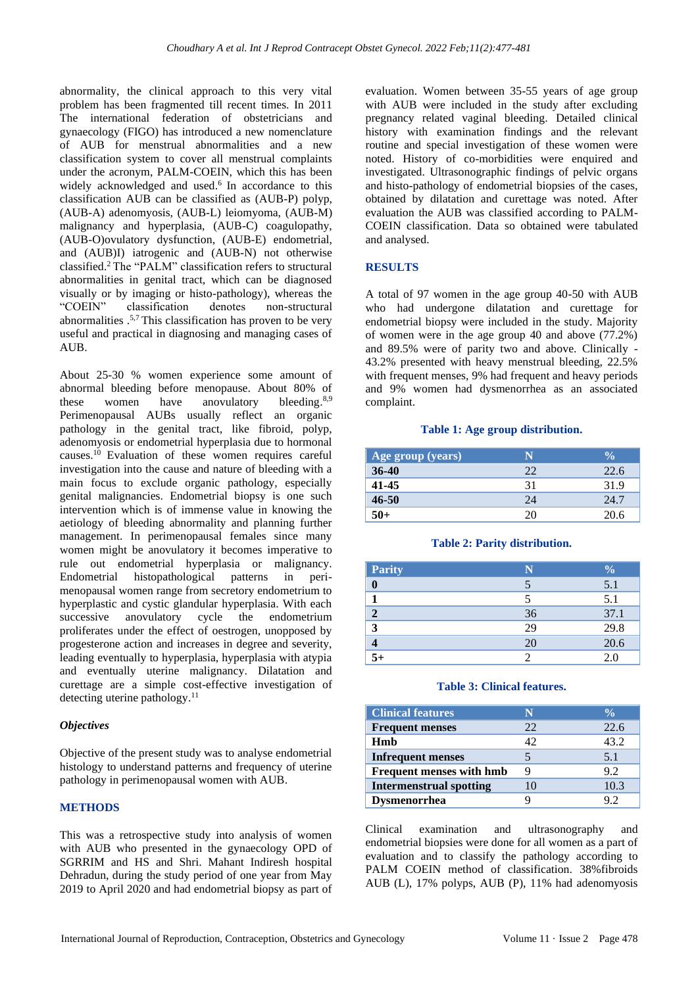abnormality, the clinical approach to this very vital problem has been fragmented till recent times. In 2011 The international federation of obstetricians and gynaecology (FIGO) has introduced a new nomenclature of AUB for menstrual abnormalities and a new classification system to cover all menstrual complaints under the acronym, PALM-COEIN, which this has been widely acknowledged and used.<sup>6</sup> In accordance to this classification AUB can be classified as (AUB-P) polyp, (AUB-A) adenomyosis, (AUB-L) leiomyoma, (AUB-M) malignancy and hyperplasia, (AUB-C) coagulopathy, (AUB-O)ovulatory dysfunction, (AUB-E) endometrial, and (AUB)I) iatrogenic and (AUB-N) not otherwise classified. <sup>2</sup>The "PALM" classification refers to structural abnormalities in genital tract, which can be diagnosed visually or by imaging or histo-pathology), whereas the "COEIN" classification denotes non-structural abnormalities  $.57$ . This classification has proven to be very useful and practical in diagnosing and managing cases of AUB.

About 25-30 % women experience some amount of abnormal bleeding before menopause. About 80% of these women have anovulatory bleeding. $8,9$ Perimenopausal AUBs usually reflect an organic pathology in the genital tract, like fibroid, polyp, adenomyosis or endometrial hyperplasia due to hormonal causes.<sup>10</sup> Evaluation of these women requires careful investigation into the cause and nature of bleeding with a main focus to exclude organic pathology, especially genital malignancies. Endometrial biopsy is one such intervention which is of immense value in knowing the aetiology of bleeding abnormality and planning further management. In perimenopausal females since many women might be anovulatory it becomes imperative to rule out endometrial hyperplasia or malignancy. Endometrial histopathological patterns in perimenopausal women range from secretory endometrium to hyperplastic and cystic glandular hyperplasia. With each successive anovulatory cycle the endometrium proliferates under the effect of oestrogen, unopposed by progesterone action and increases in degree and severity, leading eventually to hyperplasia, hyperplasia with atypia and eventually uterine malignancy. Dilatation and curettage are a simple cost-effective investigation of detecting uterine pathology. 11

# *Objectives*

Objective of the present study was to analyse endometrial histology to understand patterns and frequency of uterine pathology in perimenopausal women with AUB.

# **METHODS**

This was a retrospective study into analysis of women with AUB who presented in the gynaecology OPD of SGRRIM and HS and Shri. Mahant Indiresh hospital Dehradun, during the study period of one year from May 2019 to April 2020 and had endometrial biopsy as part of evaluation. Women between 35-55 years of age group with AUB were included in the study after excluding pregnancy related vaginal bleeding. Detailed clinical history with examination findings and the relevant routine and special investigation of these women were noted. History of co-morbidities were enquired and investigated. Ultrasonographic findings of pelvic organs and histo-pathology of endometrial biopsies of the cases, obtained by dilatation and curettage was noted. After evaluation the AUB was classified according to PALM-COEIN classification. Data so obtained were tabulated and analysed.

#### **RESULTS**

A total of 97 women in the age group 40-50 with AUB who had undergone dilatation and curettage for endometrial biopsy were included in the study. Majority of women were in the age group 40 and above (77.2%) and 89.5% were of parity two and above. Clinically - 43.2% presented with heavy menstrual bleeding, 22.5% with frequent menses, 9% had frequent and heavy periods and 9% women had dysmenorrhea as an associated complaint.

#### **Table 1: Age group distribution.**

| Age group (years) |    | $\frac{0}{2}$ |
|-------------------|----|---------------|
| $36-40$           | つつ | 22.6          |
| 41-45             | 31 | 31.9          |
| 46-50             | 24 | 24.7          |
| 50+               | 20 | 20.6          |

#### **Table 2: Parity distribution.**

| <b>Parity</b> |    | $\frac{0}{0}$ |
|---------------|----|---------------|
|               |    | 5.1           |
|               |    | 5.1           |
| 2             | 36 | 37.1          |
| 3             | 29 | 29.8          |
|               | 20 | 20.6          |
| $5+$          | ာ  | 2.0           |

#### **Table 3: Clinical features.**

| <b>Clinical features</b>        | N   | $\frac{0}{\alpha}$ |
|---------------------------------|-----|--------------------|
| <b>Frequent menses</b>          | 22. | 22.6               |
| Hmb                             | 42  | 43.2               |
| <b>Infrequent menses</b>        |     | 5.1                |
| <b>Frequent menses with hmb</b> | Q   | 9.2                |
| <b>Intermenstrual spotting</b>  | 10  | 10.3               |
| Dysmenorrhea                    |     | 92                 |

Clinical examination and ultrasonography and endometrial biopsies were done for all women as a part of evaluation and to classify the pathology according to PALM COEIN method of classification. 38%fibroids AUB (L), 17% polyps, AUB (P), 11% had adenomyosis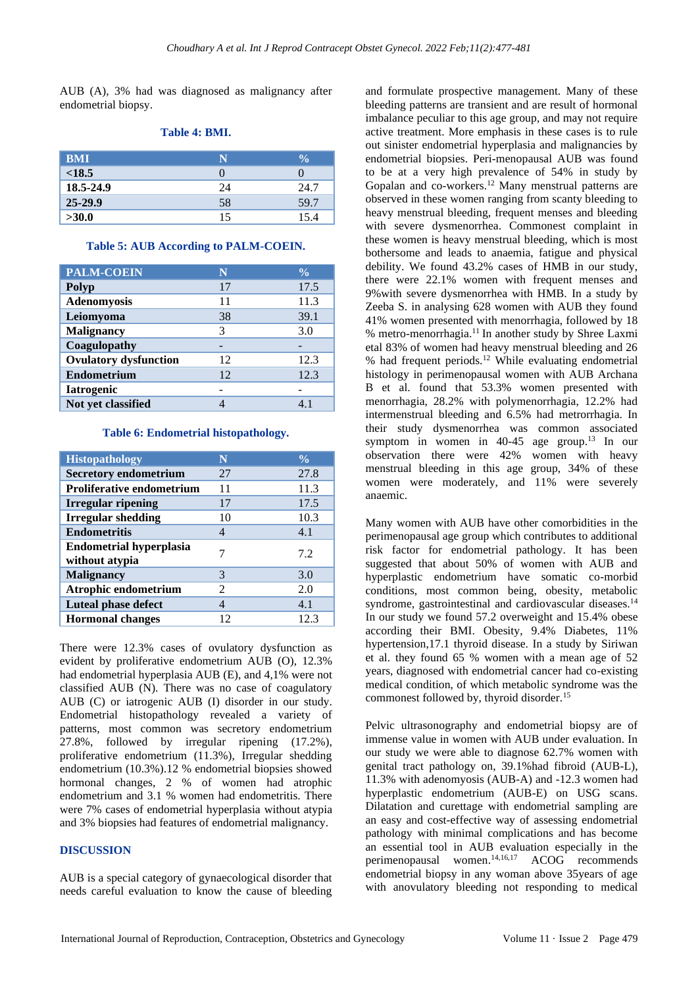AUB (A), 3% had was diagnosed as malignancy after endometrial biopsy.

| <b>BMI</b>  | N  | $\frac{0}{2}$ |
|-------------|----|---------------|
| < 18.5      |    |               |
| 18.5-24.9   | 24 | 24.7          |
| $25 - 29.9$ | 58 | 59.7          |
| >30.0       | 15 | 15.4          |

#### **Table 4: BMI.**

#### **Table 5: AUB According to PALM-COEIN.**

| <b>PALM-COEIN</b>            | N  | $\frac{0}{\alpha}$ |
|------------------------------|----|--------------------|
| <b>Polyp</b>                 | 17 | 17.5               |
| Adenomyosis                  | 11 | 11.3               |
| Leiomyoma                    | 38 | 39.1               |
| <b>Malignancy</b>            | 3  | 3.0                |
| Coagulopathy                 |    |                    |
| <b>Ovulatory dysfunction</b> | 12 | 12.3               |
| <b>Endometrium</b>           | 12 | 12.3               |
| <b>Iatrogenic</b>            |    |                    |
| Not yet classified           |    | 4.1                |

#### **Table 6: Endometrial histopathology.**

| <b>Histopathology</b>                            | N  | $\frac{0}{\alpha}$ |
|--------------------------------------------------|----|--------------------|
| <b>Secretory endometrium</b>                     | 27 | 27.8               |
| <b>Proliferative endometrium</b>                 | 11 | 11.3               |
| Irregular ripening                               | 17 | 17.5               |
| <b>Irregular shedding</b>                        | 10 | 10.3               |
| <b>Endometritis</b>                              | 4  | 4.1                |
| <b>Endometrial hyperplasia</b><br>without atypia | 7  | 72                 |
| <b>Malignancy</b>                                | 3  | 3.0                |
| Atrophic endometrium                             | 2  | 2.0                |
| <b>Luteal phase defect</b>                       |    | 4.1                |
| <b>Hormonal changes</b>                          | 12 | 12.3               |

There were 12.3% cases of ovulatory dysfunction as evident by proliferative endometrium AUB (O), 12.3% had endometrial hyperplasia AUB (E), and 4,1% were not classified AUB (N). There was no case of coagulatory AUB (C) or iatrogenic AUB (I) disorder in our study. Endometrial histopathology revealed a variety of patterns, most common was secretory endometrium 27.8%, followed by irregular ripening (17.2%), proliferative endometrium (11.3%), Irregular shedding endometrium (10.3%).12 % endometrial biopsies showed hormonal changes, 2 % of women had atrophic endometrium and 3.1 % women had endometritis. There were 7% cases of endometrial hyperplasia without atypia and 3% biopsies had features of endometrial malignancy.

## **DISCUSSION**

AUB is a special category of gynaecological disorder that needs careful evaluation to know the cause of bleeding and formulate prospective management. Many of these bleeding patterns are transient and are result of hormonal imbalance peculiar to this age group, and may not require active treatment. More emphasis in these cases is to rule out sinister endometrial hyperplasia and malignancies by endometrial biopsies. Peri-menopausal AUB was found to be at a very high prevalence of 54% in study by Gopalan and co-workers. <sup>12</sup> Many menstrual patterns are observed in these women ranging from scanty bleeding to heavy menstrual bleeding, frequent menses and bleeding with severe dysmenorrhea. Commonest complaint in these women is heavy menstrual bleeding, which is most bothersome and leads to anaemia, fatigue and physical debility. We found 43.2% cases of HMB in our study, there were 22.1% women with frequent menses and 9%with severe dysmenorrhea with HMB. In a study by Zeeba S. in analysing 628 women with AUB they found 41% women presented with menorrhagia, followed by 18 % metro-menorrhagia.<sup>11</sup> In another study by Shree Laxmi etal 83% of women had heavy menstrual bleeding and 26 % had frequent periods.<sup>12</sup> While evaluating endometrial histology in perimenopausal women with AUB Archana B et al. found that 53.3% women presented with menorrhagia, 28.2% with polymenorrhagia, 12.2% had intermenstrual bleeding and 6.5% had metrorrhagia. In their study dysmenorrhea was common associated symptom in women in  $40-45$  age group.<sup>13</sup> In our observation there were 42% women with heavy menstrual bleeding in this age group, 34% of these women were moderately, and 11% were severely anaemic.

Many women with AUB have other comorbidities in the perimenopausal age group which contributes to additional risk factor for endometrial pathology. It has been suggested that about 50% of women with AUB and hyperplastic endometrium have somatic co-morbid conditions, most common being, obesity, metabolic syndrome, gastrointestinal and cardiovascular diseases.<sup>14</sup> In our study we found 57.2 overweight and 15.4% obese according their BMI. Obesity, 9.4% Diabetes, 11% hypertension,17.1 thyroid disease. In a study by Siriwan et al. they found 65 % women with a mean age of 52 years, diagnosed with endometrial cancer had co-existing medical condition, of which metabolic syndrome was the commonest followed by, thyroid disorder.<sup>15</sup>

Pelvic ultrasonography and endometrial biopsy are of immense value in women with AUB under evaluation. In our study we were able to diagnose 62.7% women with genital tract pathology on, 39.1%had fibroid (AUB-L), 11.3% with adenomyosis (AUB-A) and -12.3 women had hyperplastic endometrium (AUB-E) on USG scans. Dilatation and curettage with endometrial sampling are an easy and cost-effective way of assessing endometrial pathology with minimal complications and has become an essential tool in AUB evaluation especially in the perimenopausal women. 14,16,17 ACOG recommends endometrial biopsy in any woman above 35years of age with anovulatory bleeding not responding to medical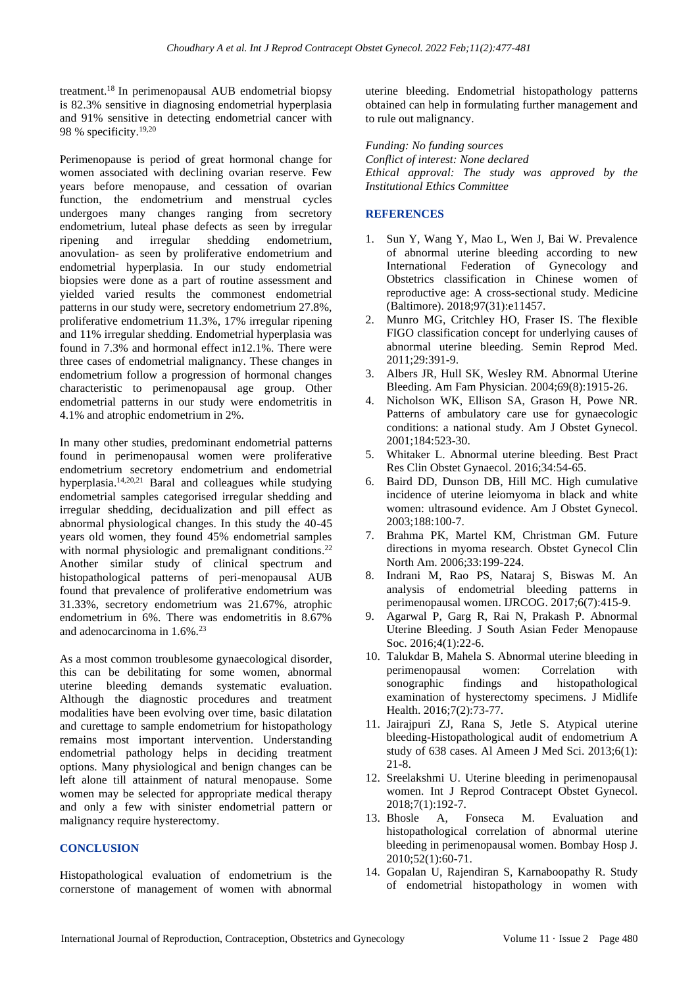treatment.<sup>18</sup>In perimenopausal AUB endometrial biopsy is 82.3% sensitive in diagnosing endometrial hyperplasia and 91% sensitive in detecting endometrial cancer with 98 % specificity.19,20

Perimenopause is period of great hormonal change for women associated with declining ovarian reserve. Few years before menopause, and cessation of ovarian function, the endometrium and menstrual cycles undergoes many changes ranging from secretory endometrium, luteal phase defects as seen by irregular ripening and irregular shedding endometrium, anovulation- as seen by proliferative endometrium and endometrial hyperplasia. In our study endometrial biopsies were done as a part of routine assessment and yielded varied results the commonest endometrial patterns in our study were, secretory endometrium 27.8%, proliferative endometrium 11.3%, 17% irregular ripening and 11% irregular shedding. Endometrial hyperplasia was found in 7.3% and hormonal effect in12.1%. There were three cases of endometrial malignancy. These changes in endometrium follow a progression of hormonal changes characteristic to perimenopausal age group. Other endometrial patterns in our study were endometritis in 4.1% and atrophic endometrium in 2%.

In many other studies, predominant endometrial patterns found in perimenopausal women were proliferative endometrium secretory endometrium and endometrial hyperplasia. 14,20,21 Baral and colleagues while studying endometrial samples categorised irregular shedding and irregular shedding, decidualization and pill effect as abnormal physiological changes. In this study the 40-45 years old women, they found 45% endometrial samples with normal physiologic and premalignant conditions.<sup>22</sup> Another similar study of clinical spectrum and histopathological patterns of peri-menopausal AUB found that prevalence of proliferative endometrium was 31.33%, secretory endometrium was 21.67%, atrophic endometrium in 6%. There was endometritis in 8.67% and adenocarcinoma in 1.6%.<sup>23</sup>

As a most common troublesome gynaecological disorder, this can be debilitating for some women, abnormal uterine bleeding demands systematic evaluation. Although the diagnostic procedures and treatment modalities have been evolving over time, basic dilatation and curettage to sample endometrium for histopathology remains most important intervention. Understanding endometrial pathology helps in deciding treatment options. Many physiological and benign changes can be left alone till attainment of natural menopause. Some women may be selected for appropriate medical therapy and only a few with sinister endometrial pattern or malignancy require hysterectomy.

# **CONCLUSION**

Histopathological evaluation of endometrium is the cornerstone of management of women with abnormal uterine bleeding. Endometrial histopathology patterns obtained can help in formulating further management and to rule out malignancy.

*Funding: No funding sources Conflict of interest: None declared Ethical approval: The study was approved by the Institutional Ethics Committee*

## **REFERENCES**

- 1. Sun Y, Wang Y, Mao L, Wen J, Bai W. Prevalence of abnormal uterine bleeding according to new International Federation of Gynecology and Obstetrics classification in Chinese women of reproductive age: A cross-sectional study. Medicine (Baltimore). 2018;97(31):e11457.
- 2. Munro MG, Critchley HO, Fraser IS. The flexible FIGO classification concept for underlying causes of abnormal uterine bleeding. Semin Reprod Med. 2011;29:391-9.
- 3. Albers JR, Hull SK, Wesley RM. Abnormal Uterine Bleeding. Am Fam Physician. 2004;69(8):1915-26.
- 4. Nicholson WK, Ellison SA, Grason H, Powe NR. Patterns of ambulatory care use for gynaecologic conditions: a national study. Am J Obstet Gynecol. 2001;184:523-30.
- 5. [Whitaker](https://www.ncbi.nlm.nih.gov/pubmed/?term=Whitaker%20L%5BAuthor%5D&cauthor=true&cauthor_uid=26803558) L. Abnormal uterine bleeding. [Best Pract](https://www.ncbi.nlm.nih.gov/pmc/articles/PMC4970656/)  [Res Clin Obstet Gynaecol.](https://www.ncbi.nlm.nih.gov/pmc/articles/PMC4970656/) 2016;34:54-65.
- 6. Baird DD, Dunson DB, Hill MC. High cumulative incidence of uterine leiomyoma in black and white women: ultrasound evidence. Am J Obstet Gynecol. 2003;188:100-7.
- 7. Brahma PK, Martel KM, Christman GM. Future directions in myoma research. Obstet Gynecol Clin North Am. 2006;33:199-224.
- 8. Indrani M, Rao PS, Nataraj S, Biswas M. An analysis of endometrial bleeding patterns in perimenopausal women. IJRCOG. 2017[;6\(7\):415-9.](https://www.ijrcog.org/index.php/ijrcog/issue/view/39)
- 9. Agarwal P, Garg R, Rai N, Prakash P. Abnormal Uterine Bleeding. J South Asian Feder Menopause Soc. 2016;4(1):22-6.
- 10. Talukdar B, Mahela S. Abnormal uterine bleeding in perimenopausal women: Correlation with sonographic findings and histopathological examination of hysterectomy specimens. J Midlife Health. 2016;7(2):73-77.
- 11. Jairajpuri ZJ, Rana S, Jetle S. Atypical uterine bleeding-Histopathological audit of endometrium A study of 638 cases. Al Ameen J Med Sci. 2013;6(1): 21-8.
- 12. Sreelakshmi U. Uterine bleeding in perimenopausal women. Int J Reprod Contracept Obstet Gynecol. 2018;7(1):192-7.
- 13. Bhosle A, Fonseca M. Evaluation and histopathological correlation of abnormal uterine bleeding in perimenopausal women. Bombay Hosp J. 2010;52(1):60-71.
- 14. Gopalan U, Rajendiran S, Karnaboopathy R. Study of endometrial histopathology in women with